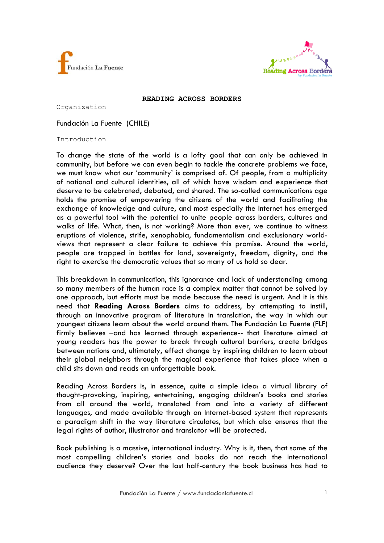



#### **READING ACROSS BORDERS**

Organization

Fundación La Fuente (CHILE)

Introduction

To change the state of the world is a lofty goal that can only be achieved in community, but before we can even begin to tackle the concrete problems we face, we must know what our 'community' is comprised of. Of people, from a multiplicity of national and cultural identities, all of which have wisdom and experience that deserve to be celebrated, debated, and shared. The so-called communications age holds the promise of empowering the citizens of the world and facilitating the exchange of knowledge and culture, and most especially the Internet has emerged as a powerful tool with the potential to unite people across borders, cultures and walks of life. What, then, is not working? More than ever, we continue to witness eruptions of violence, strife, xenophobia, fundamentalism and exclusionary worldviews that represent a clear failure to achieve this promise. Around the world, people are trapped in battles for land, sovereignty, freedom, dignity, and the right to exercise the democratic values that so many of us hold so dear.

This breakdown in communication, this ignorance and lack of understanding among so many members of the human race is a complex matter that cannot be solved by one approach, but efforts must be made because the need is urgent. And it is this need that **Reading Across Borders** aims to address, by attempting to instill, through an innovative program of literature in translation, the way in which our youngest citizens learn about the world around them. The Fundación La Fuente (FLF) firmly believes –and has learned through experience-- that literature aimed at young readers has the power to break through cultural barriers, create bridges between nations and, ultimately, effect change by inspiring children to learn about their global neighbors through the magical experience that takes place when a child sits down and reads an unforgettable book.

Reading Across Borders is, in essence, quite a simple idea: a virtual library of thought-provoking, inspiring, entertaining, engaging children's books and stories from all around the world, translated from and into a variety of different languages, and made available through an Internet-based system that represents a paradigm shift in the way literature circulates, but which also ensures that the legal rights of author, illustrator and translator will be protected.

Book publishing is a massive, international industry. Why is it, then, that some of the most compelling children's stories and books do not reach the international audience they deserve? Over the last half-century the book business has had to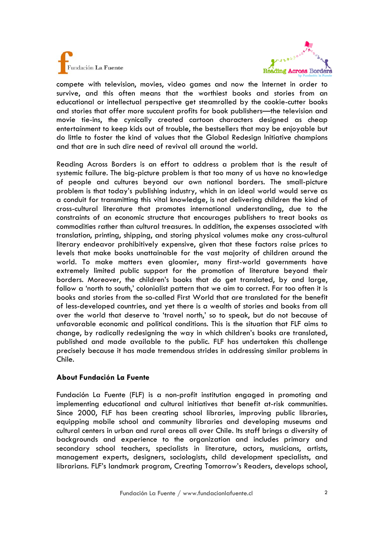



compete with television, movies, video games and now the Internet in order to survive, and this often means that the worthiest books and stories from an educational or intellectual perspective get steamrolled by the cookie-cutter books and stories that offer more succulent profits for book publishers—the television and movie tie-ins, the cynically created cartoon characters designed as cheap entertainment to keep kids out of trouble, the bestsellers that may be enjoyable but do little to foster the kind of values that the Global Redesign Initiative champions and that are in such dire need of revival all around the world.

Reading Across Borders is an effort to address a problem that is the result of systemic failure. The big-picture problem is that too many of us have no knowledge of people and cultures beyond our own national borders. The small-picture problem is that today's publishing industry, which in an ideal world would serve as a conduit for transmitting this vital knowledge, is not delivering children the kind of cross-cultural literature that promotes international understanding, due to the constraints of an economic structure that encourages publishers to treat books as commodities rather than cultural treasures. In addition, the expenses associated with translation, printing, shipping, and storing physical volumes make any cross-cultural literary endeavor prohibitively expensive, given that these factors raise prices to levels that make books unattainable for the vast majority of children around the world. To make matters even gloomier, many first-world governments have extremely limited public support for the promotion of literature beyond their borders. Moreover, the children's books that do get translated, by and large, follow a 'north to south,' colonialist pattern that we aim to correct. Far too often it is books and stories from the so-called First World that are translated for the benefit of less-developed countries, and yet there is a wealth of stories and books from all over the world that deserve to 'travel north,' so to speak, but do not because of unfavorable economic and political conditions. This is the situation that FLF aims to change, by radically redesigning the way in which children's books are translated, published and made available to the public. FLF has undertaken this challenge precisely because it has made tremendous strides in addressing similar problems in Chile.

# **About Fundación La Fuente**

Fundación La Fuente (FLF) is a non-profit institution engaged in promoting and implementing educational and cultural initiatives that benefit at-risk communities. Since 2000, FLF has been creating school libraries, improving public libraries, equipping mobile school and community libraries and developing museums and cultural centers in urban and rural areas all over Chile. Its staff brings a diversity of backgrounds and experience to the organization and includes primary and secondary school teachers, specialists in literature, actors, musicians, artists, management experts, designers, sociologists, child development specialists, and librarians. FLF's landmark program, Creating Tomorrow's Readers, develops school,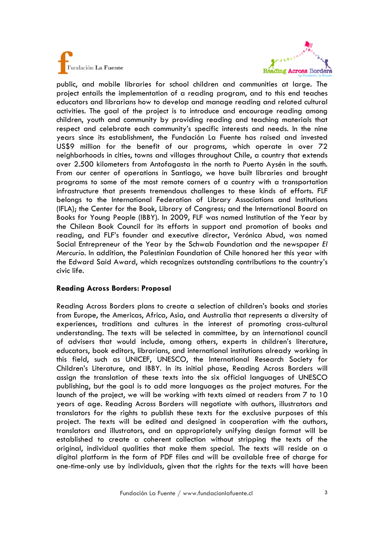



public, and mobile libraries for school children and communities at large. The project entails the implementation of a reading program, and to this end teaches educators and librarians how to develop and manage reading and related cultural activities. The goal of the project is to introduce and encourage reading among children, youth and community by providing reading and teaching materials that respect and celebrate each community's specific interests and needs. In the nine years since its establishment, the Fundación La Fuente has raised and invested US\$9 million for the benefit of our programs, which operate in over 72 neighborhoods in cities, towns and villages throughout Chile, a country that extends over 2.500 kilometers from Antofagasta in the north to Puerto Aysén in the south. From our center of operations in Santiago, we have built libraries and brought programs to some of the most remote corners of a country with a transportation infrastructure that presents tremendous challenges to these kinds of efforts. FLF belongs to the International Federation of Library Associations and Institutions (IFLA); the Center for the Book, Library of Congress; and the International Board on Books for Young People (IBBY). In 2009, FLF was named Institution of the Year by the Chilean Book Council for its efforts in support and promotion of books and reading, and FLF's founder and executive director, Verónica Abud, was named Social Entrepreneur of the Year by the Schwab Foundation and the newspaper *El Mercurio.* In addition, the Palestinian Foundation of Chile honored her this year with the Edward Said Award, which recognizes outstanding contributions to the country's civic life.

# **Reading Across Borders: Proposal**

Reading Across Borders plans to create a selection of children's books and stories from Europe, the Americas, Africa, Asia, and Australia that represents a diversity of experiences, traditions and cultures in the interest of promoting cross-cultural understanding. The texts will be selected in committee, by an international council of advisers that would include, among others, experts in children's literature, educators, book editors, librarians, and international institutions already working in this field, such as UNICEF, UNESCO, the International Research Society for Children's Literature, and IBBY. In its initial phase, Reading Across Borders will assign the translation of these texts into the six official languages of UNESCO publishing, but the goal is to add more languages as the project matures. For the launch of the project, we will be working with texts aimed at readers from 7 to 10 years of age. Reading Across Borders will negotiate with authors, illustrators and translators for the rights to publish these texts for the exclusive purposes of this project. The texts will be edited and designed in cooperation with the authors, translators and illustrators, and an appropriately unifying design format will be established to create a coherent collection without stripping the texts of the original, individual qualities that make them special. The texts will reside on a digital platform in the form of PDF files and will be available free of charge for one-time-only use by individuals, given that the rights for the texts will have been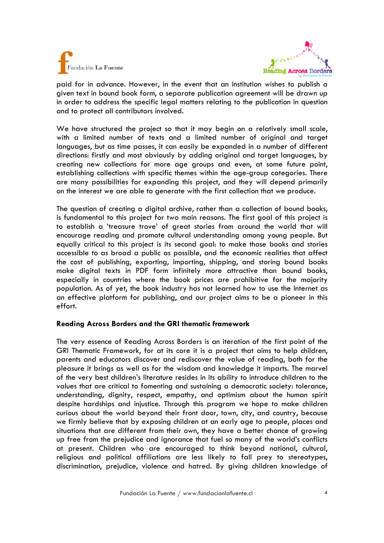



paid for in advance. However, in the event that an institution wishes to publish a given text in bound book form, a separate publication agreement will be drawn up in order to address the specific legal matters relating to the publication in question and to protect all contributors involved.

We have structured the project so that it may begin on a relatively small scale, with a limited number of texts and a limited number of original and target languages, but as time passes, it can easily be expanded in a number of different directions: firstly and most obviously by adding original and target languages, by creating new collections for more age groups and even, at some future point, establishing collections with specific themes within the age-group categories. There are many possibilities for expanding this project, and they will depend primarily on the interest we are able to generate with the first collection that we produce.

The question of creating a digital archive, rather than a collection of bound books, is fundamental to this project for two main reasons. The first goal of this project is to establish a 'treasure trove' of great stories from around the world that will encourage reading and promote cultural understanding among young people. But equally critical to this project is its second goal: to make those books and stories accessible to as broad a public as possible, and the economic realities that affect the cost of publishing, exporting, importing, shipping, and storing bound books make digital texts in PDF form infinitely more attractive than bound books, especially in countries where the book prices are prohibitive for the majority population. As of yet, the book industry has not learned how to use the Internet as an effective platform for publishing, and our project aims to be a pioneer in this effort.

### **Reading Across Borders and the GRI thematic framework**

The very essence of Reading Across Borders is an iteration of the first point of the GRI Thematic Framework, for at its core it is a project that aims to help children, parents and educators discover and rediscover the value of reading, both for the pleasure it brings as well as for the wisdom and knowledge it imparts. The marvel of the very best children's literature resides in its ability to introduce children to the values that are critical to fomenting and sustaining a democratic society: tolerance, understanding, dignity, respect, empathy, and optimism about the human spirit despite hardships and injustice. Through this program we hope to make children curious about the world beyond their front door, town, city, and country, because we firmly believe that by exposing children at an early age to people, places and situations that are different from their own, they have a better chance of growing up free from the prejudice and ignorance that fuel so many of the world's conflicts at present. Children who are encouraged to think beyond national, cultural, religious and political affiliations are less likely to fall prey to stereotypes, discrimination, prejudice, violence and hatred. By giving children knowledge of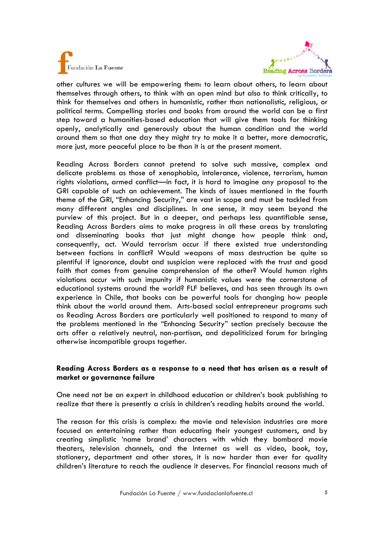



other cultures we will be empowering them: to learn about others, to learn about themselves through others, to think with an open mind but also to think critically, to think for themselves and others in humanistic, rather than nationalistic, religious, or political terms. Compelling stories and books from around the world can be a first step toward a humanities-based education that will give them tools for thinking openly, analytically and generously about the human condition and the world around them so that one day they might try to make it a better, more democratic, more just, more peaceful place to be than it is at the present moment.

Reading Across Borders cannot pretend to solve such massive, complex and delicate problems as those of xenophobia, intolerance, violence, terrorism, human rights violations, armed conflict—in fact, it is hard to imagine any proposal to the GRI capable of such an achievement. The kinds of issues mentioned in the fourth theme of the GRI, "Enhancing Security," are vast in scope and must be tackled from many different angles and disciplines. In one sense, it may seem beyond the purview of this project. But in a deeper, and perhaps less quantifiable sense, Reading Across Borders aims to make progress in all these areas by translating and disseminating books that just might change how people think and, consequently, act. Would terrorism occur if there existed true understanding between factions in conflict? Would weapons of mass destruction be quite so plentiful if ignorance, doubt and suspicion were replaced with the trust and good faith that comes from genuine comprehension of the other? Would human rights violations occur with such impunity if humanistic values were the cornerstone of educational systems around the world? FLF believes, and has seen through its own experience in Chile, that books can be powerful tools for changing how people think about the world around them. Arts-based social entrepreneur programs such as Reading Across Borders are particularly well positioned to respond to many of the problems mentioned in the "Enhancing Security" section precisely because the arts offer a relatively neutral, non-partisan, and depoliticized forum for bringing otherwise incompatible groups together.

### **Reading Across Borders as a response to a need that has arisen as a result of market or governance failure**

One need not be an expert in childhood education or children's book publishing to realize that there is presently a crisis in children's reading habits around the world.

The reason for this crisis is complex: the movie and television industries are more focused on entertaining rather than educating their youngest customers, and by creating simplistic 'name brand' characters with which they bombard movie theaters, television channels, and the Internet as well as video, book, toy, stationery, department and other stores, it is now harder than ever for quality children's literature to reach the audience it deserves. For financial reasons much of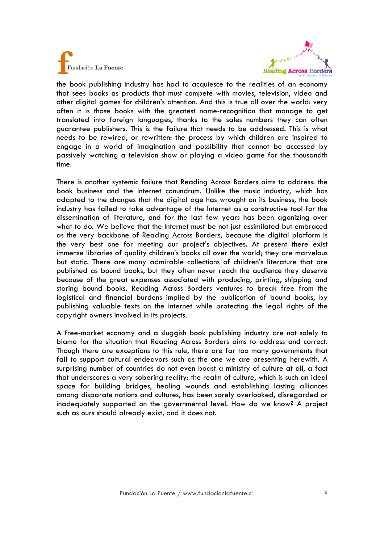



the book publishing industry has had to acquiesce to the realities of an economy that sees books as products that must compete with movies, television, video and other digital games for children's attention. And this is true all over the world: very often it is those books with the greatest name-recognition that manage to get translated into foreign languages, thanks to the sales numbers they can often guarantee publishers. This is the failure that needs to be addressed. This is what needs to be rewired, or rewritten: the process by which children are inspired to engage in a world of imagination and possibility that cannot be accessed by passively watching a television show or playing a video game for the thousandth time.

There is another systemic failure that Reading Across Borders aims to address: the book business and the Internet conundrum. Unlike the music industry, which has adapted to the changes that the digital age has wrought on its business, the book industry has failed to take advantage of the Internet as a constructive tool for the dissemination of literature, and for the last few years has been agonizing over what to do. We believe that the Internet must be not just assimilated but embraced as the very backbone of Reading Across Borders, because the digital platform is the very best one for meeting our project's objectives. At present there exist immense libraries of quality children's books all over the world; they are marvelous but static. There are many admirable collections of children's literature that are published as bound books, but they often never reach the audience they deserve because of the great expenses associated with producing, printing, shipping and storing bound books. Reading Across Borders ventures to break free from the logistical and financial burdens implied by the publication of bound books, by publishing valuable texts on the internet while protecting the legal rights of the copyright owners involved in its projects.

A free-market economy and a sluggish book publishing industry are not solely to blame for the situation that Reading Across Borders aims to address and correct. Though there are exceptions to this rule, there are far too many governments that fail to support cultural endeavors such as the one we are presenting herewith. A surprising number of countries do not even boast a ministry of culture at all, a fact that underscores a very sobering reality: the realm of culture, which is such an ideal space for building bridges, healing wounds and establishing lasting alliances among disparate nations and cultures, has been sorely overlooked, disregarded or inadequately supported on the governmental level. How do we know? A project such as ours should already exist, and it does not.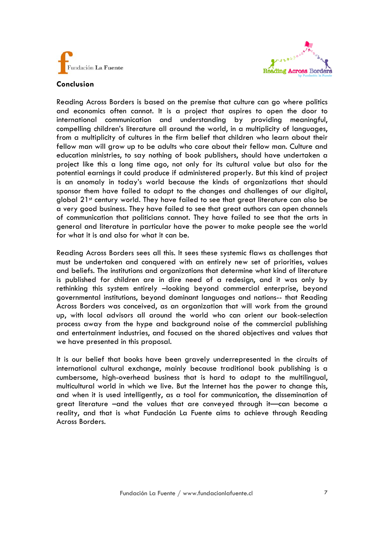



### **Conclusion**

Reading Across Borders is based on the premise that culture can go where politics and economics often cannot. It is a project that aspires to open the door to international communication and understanding by providing meaningful, compelling children's literature all around the world, in a multiplicity of languages, from a multiplicity of cultures in the firm belief that children who learn about their fellow man will grow up to be adults who care about their fellow man. Culture and education ministries, to say nothing of book publishers, should have undertaken a project like this a long time ago, not only for its cultural value but also for the potential earnings it could produce if administered properly. But this kind of project is an anomaly in today's world because the kinds of organizations that should sponsor them have failed to adapt to the changes and challenges of our digital, global  $21<sup>st</sup>$  century world. They have failed to see that great literature can also be a very good business. They have failed to see that great authors can open channels of communication that politicians cannot. They have failed to see that the arts in general and literature in particular have the power to make people see the world for what it is and also for what it can be.

Reading Across Borders sees all this. It sees these systemic flaws as challenges that must be undertaken and conquered with an entirely new set of priorities, values and beliefs. The institutions and organizations that determine what kind of literature is published for children are in dire need of a redesign, and it was only by rethinking this system entirely –looking beyond commercial enterprise, beyond governmental institutions, beyond dominant languages and nations-- that Reading Across Borders was conceived, as an organization that will work from the ground up, with local advisors all around the world who can orient our book-selection process away from the hype and background noise of the commercial publishing and entertainment industries, and focused on the shared objectives and values that we have presented in this proposal.

It is our belief that books have been gravely underrepresented in the circuits of international cultural exchange, mainly because traditional book publishing is a cumbersome, high-overhead business that is hard to adapt to the multilingual, multicultural world in which we live. But the Internet has the power to change this, and when it is used intelligently, as a tool for communication, the dissemination of great literature –and the values that are conveyed through it—can become a reality, and that is what Fundación La Fuente aims to achieve through Reading Across Borders.